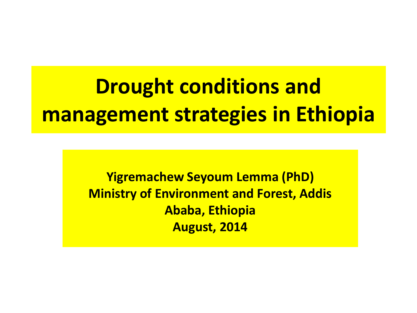## **Drought conditions and management strategies in Ethiopia**

**Yigremachew Seyoum Lemma (PhD) Ministry of Environment and Forest, Addis Ababa, Ethiopia August, 2014**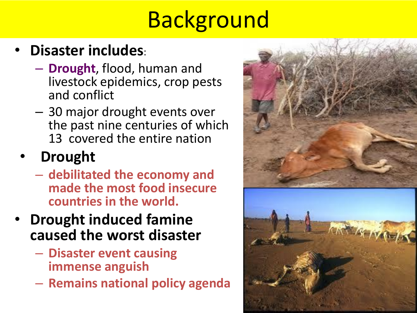# Background

#### • **Disaster includes**:

- **Drought**, flood, human and livestock epidemics, crop pests and conflict
- 30 major drought events over the past nine centuries of which 13 covered the entire nation

#### • **Drought**

- **debilitated the economy and made the most food insecure countries in the world.**
- **Drought induced famine caused the worst disaster**
	- **Disaster event causing immense anguish**
	- **Remains national policy agenda**

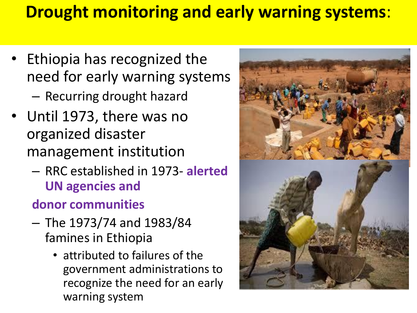### **Drought monitoring and early warning systems**:

- Ethiopia has recognized the need for early warning systems
	- Recurring drought hazard
- Until 1973, there was no organized disaster management institution
	- RRC established in 1973- **alerted UN agencies and**
	- **donor communities**
	- The 1973/74 and 1983/84 famines in Ethiopia
		- attributed to failures of the government administrations to recognize the need for an early warning system

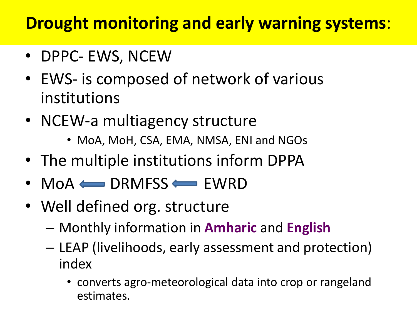#### **Drought monitoring and early warning systems**:

- DPPC- EWS, NCEW
- EWS- is composed of network of various institutions
- NCEW-a multiagency structure
	- MoA, MoH, CSA, EMA, NMSA, ENI and NGOs
- The multiple institutions inform DPPA
- MoA  $\longleftarrow$  DRMFSS  $\longleftarrow$  EWRD
- Well defined org. structure
	- Monthly information in **Amharic** and **English**
	- LEAP (livelihoods, early assessment and protection) index
		- converts agro-meteorological data into crop or rangeland estimates.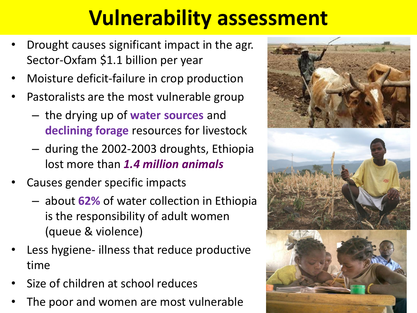## **Vulnerability assessment**

- Drought causes significant impact in the agr. Sector-Oxfam \$1.1 billion per year
- Moisture deficit-failure in crop production
- Pastoralists are the most vulnerable group
	- the drying up of **water sources** and **declining forage** resources for livestock
	- during the 2002-2003 droughts, Ethiopia lost more than *1.4 million animals*
- Causes gender specific impacts
	- about **62%** of water collection in Ethiopia is the responsibility of adult women (queue & violence)
- Less hygiene- illness that reduce productive time
- Size of children at school reduces
- The poor and women are most vulnerable

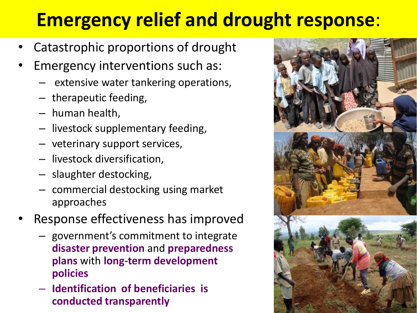## **Emergency relief and drought response**:

- Catastrophic proportions of drought
- Emergency interventions such as:
	- extensive water tankering operations,
	- therapeutic feeding,
	- human health,
	- livestock supplementary feeding,
	- veterinary support services,
	- livestock diversification,
	- slaughter destocking,
	- commercial destocking using market approaches
- Response effectiveness has improved
	- government's commitment to integrate **disaster prevention** and **preparedness plans** with **long-term development policies**
	- **Identification of beneficiaries is conducted transparently**

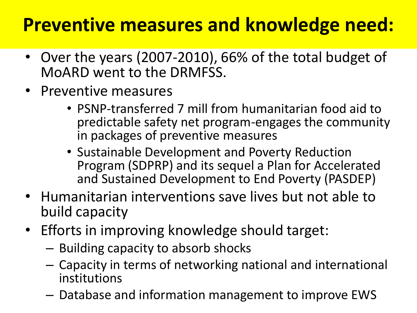### **Preventive measures and knowledge need:**

- Over the years (2007-2010), 66% of the total budget of MoARD went to the DRMFSS.
- Preventive measures
	- PSNP-transferred 7 mill from humanitarian food aid to predictable safety net program-engages the community in packages of preventive measures
	- Sustainable Development and Poverty Reduction Program (SDPRP) and its sequel a Plan for Accelerated and Sustained Development to End Poverty (PASDEP)
- Humanitarian interventions save lives but not able to build capacity
- Efforts in improving knowledge should target:
	- Building capacity to absorb shocks
	- Capacity in terms of networking national and international institutions
	- Database and information management to improve EWS